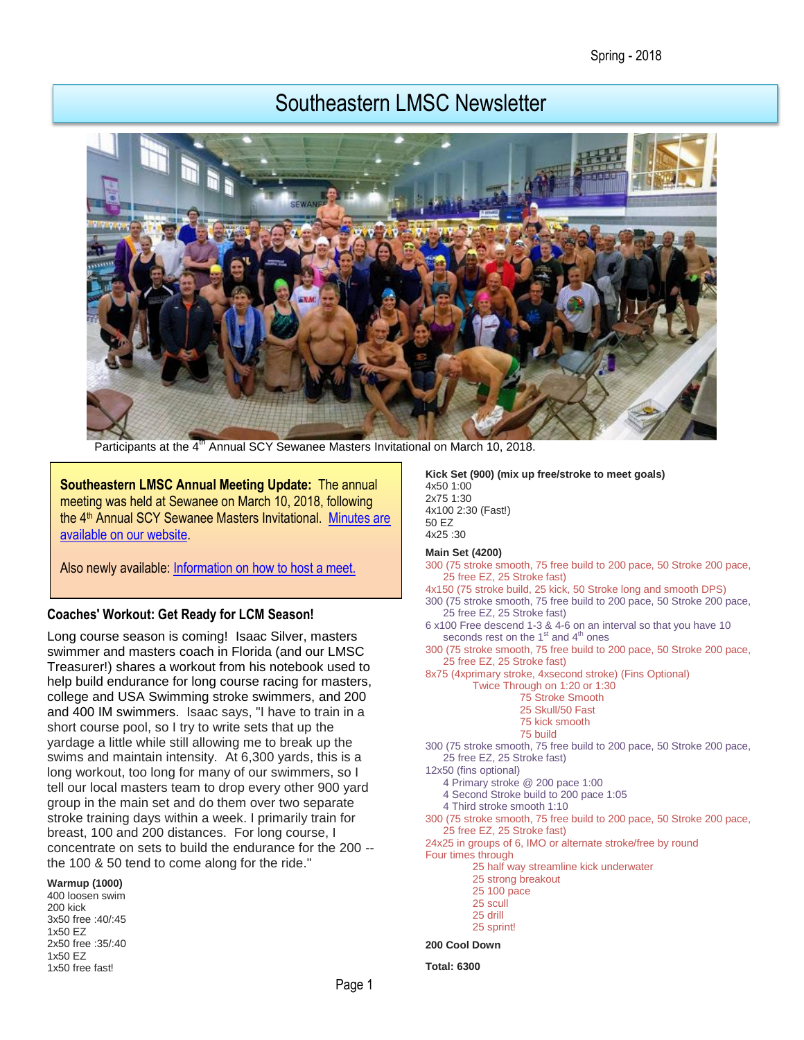# Southeastern LMSC Newsletter



Participants at the 4<sup>th</sup> Annual SCY Sewanee Masters Invitational on March 10, 2018.

**Southeastern LMSC Annual Meeting Update:** The annual meeting was held at Sewanee on March 10, 2018, following the 4<sup>th</sup> Annual SCY Sewanee Masters Invitational. Minutes are [available on our website.](https://www.southeasternlmsc.com/page.cfm?pagetitle=Documents)

Also newly available: [Information on how to host a meet.](https://www.southeasternlmsc.com/page.cfm?pagetitle=Meet+Information)

#### **Coaches' Workout: Get Ready for LCM Season!**

Long course season is coming! Isaac Silver, masters swimmer and masters coach in Florida (and our LMSC Treasurer!) shares a workout from his notebook used to help build endurance for long course racing for masters, college and USA Swimming stroke swimmers, and 200 and 400 IM swimmers. Isaac says, "I have to train in a short course pool, so I try to write sets that up the yardage a little while still allowing me to break up the swims and maintain intensity. At 6,300 yards, this is a long workout, too long for many of our swimmers, so I tell our local masters team to drop every other 900 yard group in the main set and do them over two separate stroke training days within a week. I primarily train for breast, 100 and 200 distances. For long course, I concentrate on sets to build the endurance for the 200 - the 100 & 50 tend to come along for the ride."

**Warmup (1000)**

400 loosen swim 200 kick 3x50 free :40/:45 1x50 EZ 2x50 free :35/:40 1x50 EZ 1x50 free fast!

**Kick Set (900) (mix up free/stroke to meet goals)** 4x50 1:00 2x75 1:30 4x100 2:30 (Fast!) 50 EZ 4x25 :30

#### **Main Set (4200)**

- 300 (75 stroke smooth, 75 free build to 200 pace, 50 Stroke 200 pace, 25 free EZ, 25 Stroke fast)
- 4x150 (75 stroke build, 25 kick, 50 Stroke long and smooth DPS)
- 300 (75 stroke smooth, 75 free build to 200 pace, 50 Stroke 200 pace, 25 free EZ, 25 Stroke fast)
- 6 x100 Free descend 1-3 & 4-6 on an interval so that you have 10 seconds rest on the  $1<sup>st</sup>$  and  $4<sup>th</sup>$  ones
- 300 (75 stroke smooth, 75 free build to 200 pace, 50 Stroke 200 pace, 25 free EZ, 25 Stroke fast)
- 8x75 (4xprimary stroke, 4xsecond stroke) (Fins Optional)
	- Twice Through on 1:20 or 1:30 75 Stroke Smooth
		- 25 Skull/50 Fast
		- 75 kick smooth
		- 75 build
- 300 (75 stroke smooth, 75 free build to 200 pace, 50 Stroke 200 pace, 25 free EZ, 25 Stroke fast)
- 12x50 (fins optional)
	- 4 Primary stroke @ 200 pace 1:00
	- 4 Second Stroke build to 200 pace 1:05
	- 4 Third stroke smooth 1:10
- 300 (75 stroke smooth, 75 free build to 200 pace, 50 Stroke 200 pace, 25 free EZ, 25 Stroke fast)
- 24x25 in groups of 6, IMO or alternate stroke/free by round
- Four times through
	- 25 half way streamline kick underwater 25 strong breakout
	- 25 100 pace
	- 25 scull
	- 25 drill
	- 25 sprintl

#### **200 Cool Down**

**Total: 6300**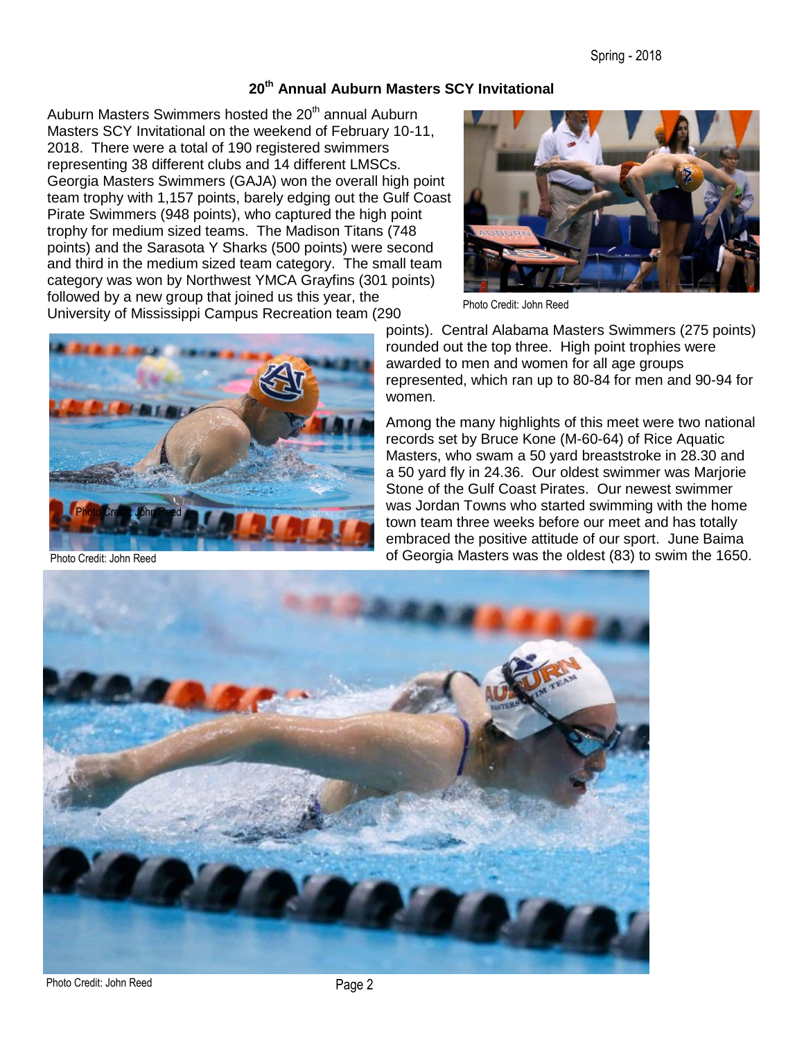#### **20th Annual Auburn Masters SCY Invitational**

Auburn Masters Swimmers hosted the 20<sup>th</sup> annual Auburn Masters SCY Invitational on the weekend of February 10-11, 2018. There were a total of 190 registered swimmers representing 38 different clubs and 14 different LMSCs. Georgia Masters Swimmers (GAJA) won the overall high point team trophy with 1,157 points, barely edging out the Gulf Coast Pirate Swimmers (948 points), who captured the high point trophy for medium sized teams. The Madison Titans (748 points) and the Sarasota Y Sharks (500 points) were second and third in the medium sized team category. The small team category was won by Northwest YMCA Grayfins (301 points) followed by a new group that joined us this year, the University of Mississippi Campus Recreation team (290



Photo Credit: John Reed



Photo Credit: John Reed

points). Central Alabama Masters Swimmers (275 points) rounded out the top three. High point trophies were awarded to men and women for all age groups represented, which ran up to 80-84 for men and 90-94 for women.

Among the many highlights of this meet were two national records set by Bruce Kone (M-60-64) of Rice Aquatic Masters, who swam a 50 yard breaststroke in 28.30 and a 50 yard fly in 24.36. Our oldest swimmer was Marjorie Stone of the Gulf Coast Pirates. Our newest swimmer was Jordan Towns who started swimming with the home town team three weeks before our meet and has totally embraced the positive attitude of our sport. June Baima of Georgia Masters was the oldest (83) to swim the 1650.



Photo Credit: John Reed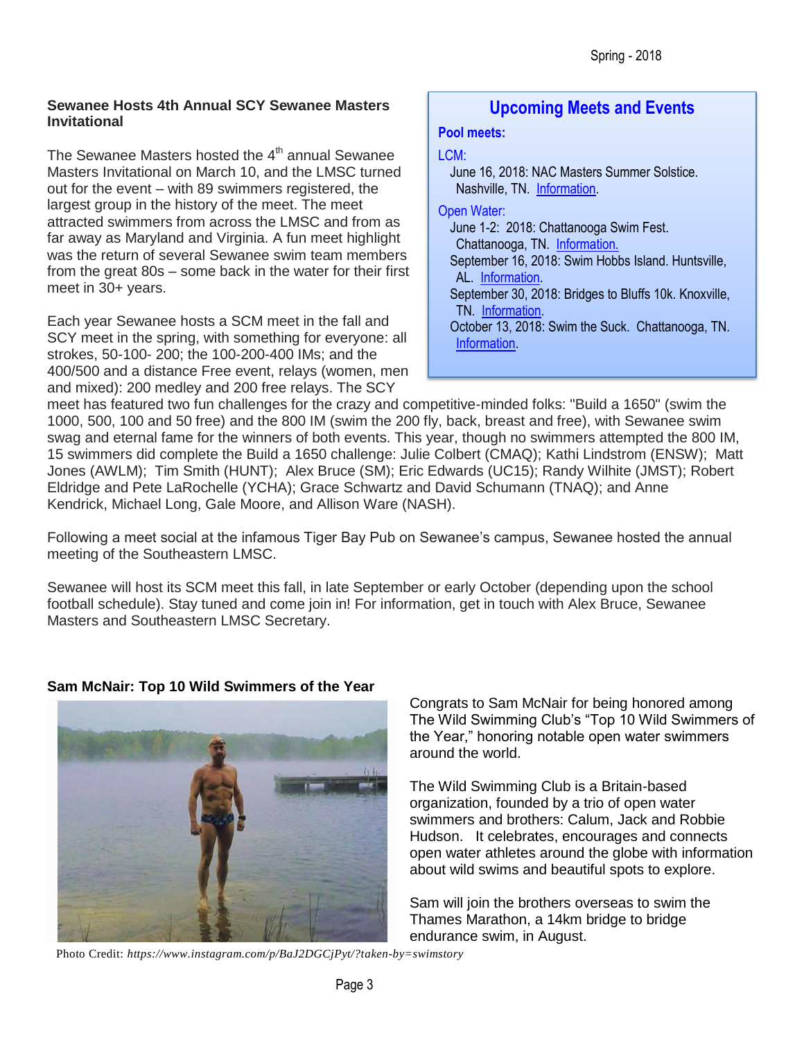#### **Sewanee Hosts 4th Annual SCY Sewanee Masters Invitational**

The Sewanee Masters hosted the  $4<sup>th</sup>$  annual Sewanee Masters Invitational on March 10, and the LMSC turned out for the event – with 89 swimmers registered, the largest group in the history of the meet. The meet attracted swimmers from across the LMSC and from as far away as Maryland and Virginia. A fun meet highlight was the return of several Sewanee swim team members from the great 80s – some back in the water for their first meet in 30+ years.

Each year Sewanee hosts a SCM meet in the fall and SCY meet in the spring, with something for everyone: all strokes, 50-100- 200; the 100-200-400 IMs; and the 400/500 and a distance Free event, relays (women, men and mixed): 200 medley and 200 free relays. The SCY

### **Upcoming Meets and Events**

#### **Pool meets:**

#### LCM:

June 16, 2018: NAC Masters Summer Solstice. Nashville, TN. [Information.](http://www.usms.org/comp/event.php?MeetID=20180616NACSUML)

Open Water:

[Information.](http://www.usms.org/comp/event.php?MeetID=20181013Suck18O)

June 1-2: 2018: Chattanooga Swim Fest. Chattanooga, TN. [Information.](http://www.usms.org/comp/event.php?MeetID=20180601RAT18O) September 16, 2018: Swim Hobbs Island. Huntsville, AL. [Information.](http://www.usms.org/comp/event.php?MeetID=20180916HobbsO) September 30, 2018: Bridges to Bluffs 10k. Knoxville, TN. [Information.](http://www.usms.org/comp/event.php?MeetID=20180930bluffsO) October 13, 2018: Swim the Suck. Chattanooga, TN.

meet has featured two fun challenges for the crazy and competitive-minded folks: "Build a 1650" (swim the 1000, 500, 100 and 50 free) and the 800 IM (swim the 200 fly, back, breast and free), with Sewanee swim swag and eternal fame for the winners of both events. This year, though no swimmers attempted the 800 IM, 15 swimmers did complete the Build a 1650 challenge: Julie Colbert (CMAQ); Kathi Lindstrom (ENSW); Matt Jones (AWLM); Tim Smith (HUNT); Alex Bruce (SM); Eric Edwards (UC15); Randy Wilhite (JMST); Robert Eldridge and Pete LaRochelle (YCHA); Grace Schwartz and David Schumann (TNAQ); and Anne Kendrick, Michael Long, Gale Moore, and Allison Ware (NASH).

Following a meet social at the infamous Tiger Bay Pub on Sewanee's campus, Sewanee hosted the annual meeting of the Southeastern LMSC.

Sewanee will host its SCM meet this fall, in late September or early October (depending upon the school football schedule). Stay tuned and come join in! For information, get in touch with Alex Bruce, Sewanee Masters and Southeastern LMSC Secretary.



### **Sam McNair: Top 10 Wild Swimmers of the Year**

Congrats to Sam McNair for being honored among The Wild Swimming Club's "Top 10 Wild Swimmers of the Year," honoring notable open water swimmers around the world.

The Wild Swimming Club is a Britain-based organization, founded by a trio of open water swimmers and brothers: Calum, Jack and Robbie Hudson. It celebrates, encourages and connects open water athletes around the globe with information about wild swims and beautiful spots to explore.

Sam will join the brothers overseas to swim the Thames Marathon, a 14km bridge to bridge endurance swim, in August.

Photo Credit: *https://www.instagram.com/p/BaJ2DGCjPyt/?taken-by=swimstory*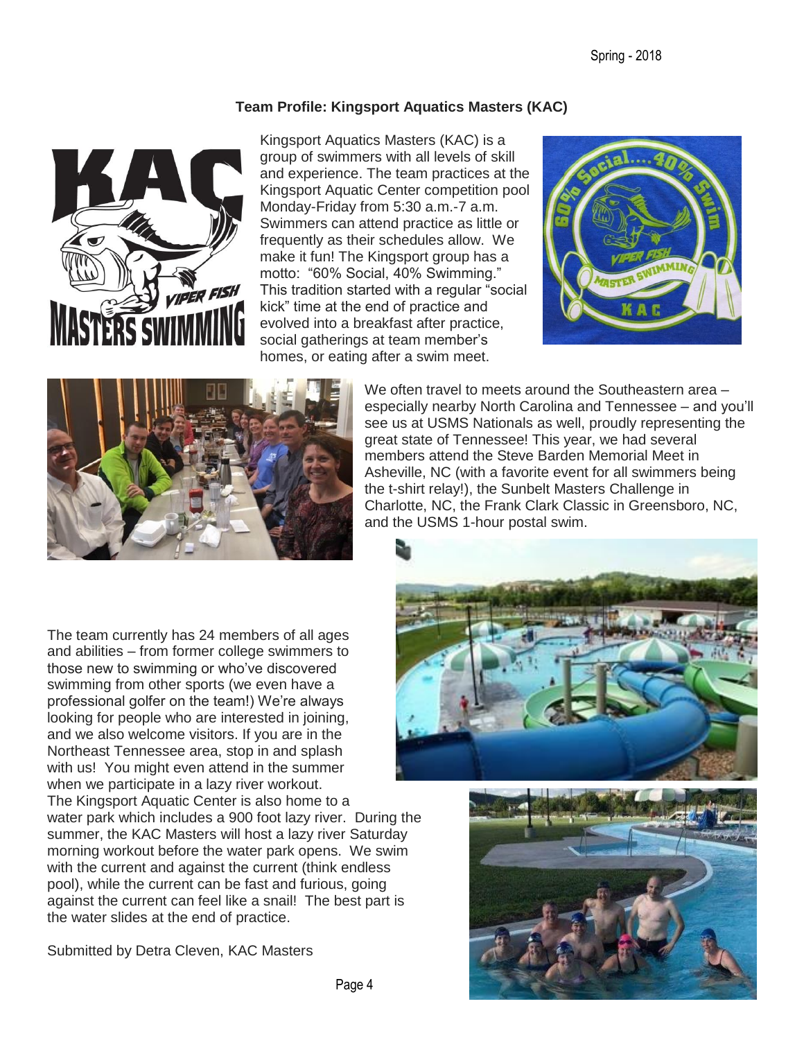#### **Team Profile: Kingsport Aquatics Masters (KAC)**



Kingsport Aquatics Masters (KAC) is a group of swimmers with all levels of skill and experience. The team practices at the Kingsport Aquatic Center competition pool Monday-Friday from 5:30 a.m.-7 a.m. Swimmers can attend practice as little or frequently as their schedules allow. We make it fun! The Kingsport group has a motto: "60% Social, 40% Swimming." This tradition started with a regular "social kick" time at the end of practice and evolved into a breakfast after practice, social gatherings at team member's homes, or eating after a swim meet.





We often travel to meets around the Southeastern area – especially nearby North Carolina and Tennessee – and you'll see us at USMS Nationals as well, proudly representing the great state of Tennessee! This year, we had several members attend the Steve Barden Memorial Meet in Asheville, NC (with a favorite event for all swimmers being the t-shirt relay!), the Sunbelt Masters Challenge in Charlotte, NC, the Frank Clark Classic in Greensboro, NC, and the USMS 1-hour postal swim.

The team currently has 24 members of all ages and abilities – from former college swimmers to those new to swimming or who've discovered swimming from other sports (we even have a professional golfer on the team!) We're always looking for people who are interested in joining, and we also welcome visitors. If you are in the Northeast Tennessee area, stop in and splash with us! You might even attend in the summer when we participate in a lazy river workout.

The Kingsport Aquatic Center is also home to a water park which includes a 900 foot lazy river. During the summer, the KAC Masters will host a lazy river Saturday morning workout before the water park opens. We swim with the current and against the current (think endless pool), while the current can be fast and furious, going against the current can feel like a snail! The best part is the water slides at the end of practice.

Submitted by Detra Cleven, KAC Masters